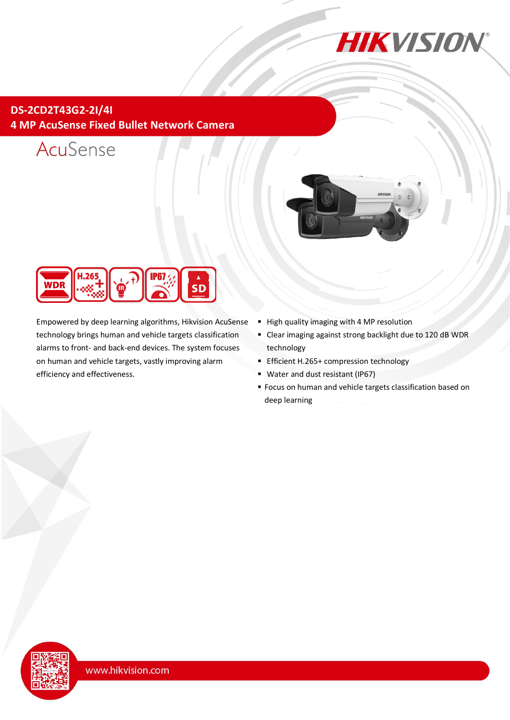

# **DS-2CD2T43G2-2I/4I 4 MP AcuSense Fixed Bullet Network Camera**







Empowered by deep learning algorithms, Hikvision AcuSense technology brings human and vehicle targets classification alarms to front- and back-end devices. The system focuses on human and vehicle targets, vastly improving alarm efficiency and effectiveness.

- High quality imaging with 4 MP resolution
- Clear imaging against strong backlight due to 120 dB WDR technology
- **Efficient H.265+ compression technology**
- Water and dust resistant (IP67)
- Focus on human and vehicle targets classification based on deep learning

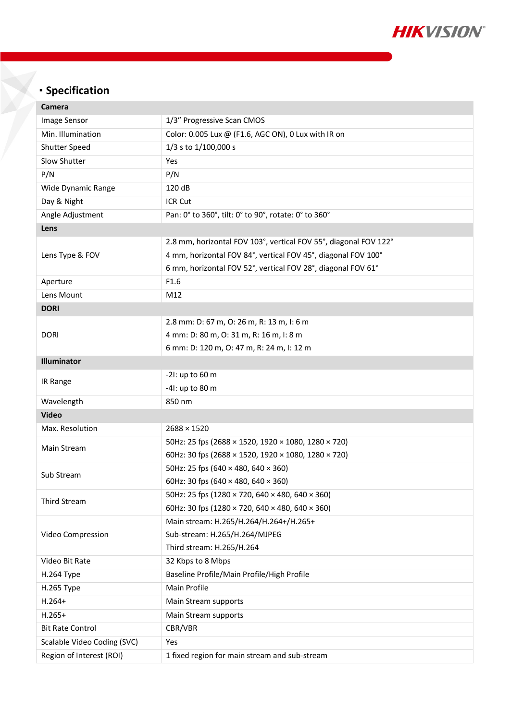

# **Specification**

| Camera                      |                                                                  |  |  |
|-----------------------------|------------------------------------------------------------------|--|--|
| <b>Image Sensor</b>         | 1/3" Progressive Scan CMOS                                       |  |  |
| Min. Illumination           | Color: 0.005 Lux @ (F1.6, AGC ON), 0 Lux with IR on              |  |  |
| Shutter Speed               | 1/3 s to 1/100,000 s                                             |  |  |
| Slow Shutter                | Yes                                                              |  |  |
| P/N                         | P/N                                                              |  |  |
| Wide Dynamic Range          | 120 dB                                                           |  |  |
| Day & Night                 | ICR Cut                                                          |  |  |
| Angle Adjustment            | Pan: 0° to 360°, tilt: 0° to 90°, rotate: 0° to 360°             |  |  |
| Lens                        |                                                                  |  |  |
|                             | 2.8 mm, horizontal FOV 103°, vertical FOV 55°, diagonal FOV 122° |  |  |
| Lens Type & FOV             | 4 mm, horizontal FOV 84°, vertical FOV 45°, diagonal FOV 100°    |  |  |
|                             | 6 mm, horizontal FOV 52°, vertical FOV 28°, diagonal FOV 61°     |  |  |
| Aperture                    | F1.6                                                             |  |  |
| Lens Mount                  | M12                                                              |  |  |
| <b>DORI</b>                 |                                                                  |  |  |
|                             | 2.8 mm: D: 67 m, O: 26 m, R: 13 m, I: 6 m                        |  |  |
| <b>DORI</b>                 | 4 mm: D: 80 m, O: 31 m, R: 16 m, I: 8 m                          |  |  |
|                             | 6 mm: D: 120 m, O: 47 m, R: 24 m, I: 12 m                        |  |  |
| Illuminator                 |                                                                  |  |  |
| IR Range                    | -21: up to 60 m                                                  |  |  |
|                             | -41: up to 80 m                                                  |  |  |
| Wavelength                  | 850 nm                                                           |  |  |
| <b>Video</b>                |                                                                  |  |  |
| Max. Resolution             | $2688 \times 1520$                                               |  |  |
| Main Stream                 | 50Hz: 25 fps (2688 × 1520, 1920 × 1080, 1280 × 720)              |  |  |
|                             | 60Hz: 30 fps (2688 × 1520, 1920 × 1080, 1280 × 720)              |  |  |
| Sub Stream                  | 50Hz: 25 fps (640 $\times$ 480, 640 $\times$ 360)                |  |  |
|                             | 60Hz: 30 fps (640 $\times$ 480, 640 $\times$ 360)                |  |  |
| <b>Third Stream</b>         | 50Hz: 25 fps (1280 × 720, 640 × 480, 640 × 360)                  |  |  |
|                             | 60Hz: 30 fps (1280 × 720, 640 × 480, 640 × 360)                  |  |  |
| Video Compression           | Main stream: H.265/H.264/H.264+/H.265+                           |  |  |
|                             | Sub-stream: H.265/H.264/MJPEG                                    |  |  |
|                             | Third stream: H.265/H.264                                        |  |  |
| Video Bit Rate              | 32 Kbps to 8 Mbps                                                |  |  |
| H.264 Type                  | Baseline Profile/Main Profile/High Profile                       |  |  |
| H.265 Type                  | Main Profile                                                     |  |  |
| $H.264+$                    | Main Stream supports                                             |  |  |
| $H.265+$                    | Main Stream supports                                             |  |  |
| <b>Bit Rate Control</b>     | CBR/VBR                                                          |  |  |
| Scalable Video Coding (SVC) | Yes                                                              |  |  |
| Region of Interest (ROI)    | 1 fixed region for main stream and sub-stream                    |  |  |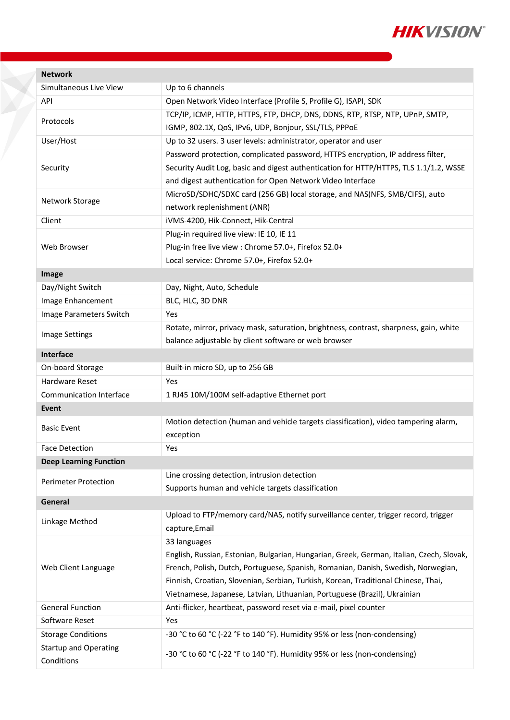

| <b>Network</b>                |                                                                                          |  |  |  |
|-------------------------------|------------------------------------------------------------------------------------------|--|--|--|
| Simultaneous Live View        | Up to 6 channels                                                                         |  |  |  |
| API                           | Open Network Video Interface (Profile S, Profile G), ISAPI, SDK                          |  |  |  |
| Protocols                     | TCP/IP, ICMP, HTTP, HTTPS, FTP, DHCP, DNS, DDNS, RTP, RTSP, NTP, UPnP, SMTP,             |  |  |  |
|                               | IGMP, 802.1X, QoS, IPv6, UDP, Bonjour, SSL/TLS, PPPoE                                    |  |  |  |
| User/Host                     | Up to 32 users. 3 user levels: administrator, operator and user                          |  |  |  |
|                               | Password protection, complicated password, HTTPS encryption, IP address filter,          |  |  |  |
| Security                      | Security Audit Log, basic and digest authentication for HTTP/HTTPS, TLS 1.1/1.2, WSSE    |  |  |  |
|                               | and digest authentication for Open Network Video Interface                               |  |  |  |
| Network Storage               | MicroSD/SDHC/SDXC card (256 GB) local storage, and NAS(NFS, SMB/CIFS), auto              |  |  |  |
|                               | network replenishment (ANR)                                                              |  |  |  |
| Client                        | iVMS-4200, Hik-Connect, Hik-Central                                                      |  |  |  |
|                               | Plug-in required live view: IE 10, IE 11                                                 |  |  |  |
| Web Browser                   | Plug-in free live view : Chrome 57.0+, Firefox 52.0+                                     |  |  |  |
|                               | Local service: Chrome 57.0+, Firefox 52.0+                                               |  |  |  |
| Image                         |                                                                                          |  |  |  |
| Day/Night Switch              | Day, Night, Auto, Schedule                                                               |  |  |  |
| Image Enhancement             | BLC, HLC, 3D DNR                                                                         |  |  |  |
| Image Parameters Switch       | Yes                                                                                      |  |  |  |
| <b>Image Settings</b>         | Rotate, mirror, privacy mask, saturation, brightness, contrast, sharpness, gain, white   |  |  |  |
|                               | balance adjustable by client software or web browser                                     |  |  |  |
| Interface                     |                                                                                          |  |  |  |
| On-board Storage              | Built-in micro SD, up to 256 GB                                                          |  |  |  |
| Hardware Reset                | Yes                                                                                      |  |  |  |
| Communication Interface       | 1 RJ45 10M/100M self-adaptive Ethernet port                                              |  |  |  |
| Event                         |                                                                                          |  |  |  |
| <b>Basic Event</b>            | Motion detection (human and vehicle targets classification), video tampering alarm,      |  |  |  |
|                               | exception                                                                                |  |  |  |
| <b>Face Detection</b>         | Yes                                                                                      |  |  |  |
| <b>Deep Learning Function</b> |                                                                                          |  |  |  |
| <b>Perimeter Protection</b>   | Line crossing detection, intrusion detection                                             |  |  |  |
|                               | Supports human and vehicle targets classification                                        |  |  |  |
| General                       |                                                                                          |  |  |  |
| Linkage Method                | Upload to FTP/memory card/NAS, notify surveillance center, trigger record, trigger       |  |  |  |
|                               | capture, Email                                                                           |  |  |  |
|                               | 33 languages                                                                             |  |  |  |
|                               | English, Russian, Estonian, Bulgarian, Hungarian, Greek, German, Italian, Czech, Slovak, |  |  |  |
| Web Client Language           | French, Polish, Dutch, Portuguese, Spanish, Romanian, Danish, Swedish, Norwegian,        |  |  |  |
|                               | Finnish, Croatian, Slovenian, Serbian, Turkish, Korean, Traditional Chinese, Thai,       |  |  |  |
|                               | Vietnamese, Japanese, Latvian, Lithuanian, Portuguese (Brazil), Ukrainian                |  |  |  |
| <b>General Function</b>       | Anti-flicker, heartbeat, password reset via e-mail, pixel counter                        |  |  |  |
| Software Reset                | Yes                                                                                      |  |  |  |
| <b>Storage Conditions</b>     | -30 °C to 60 °C (-22 °F to 140 °F). Humidity 95% or less (non-condensing)                |  |  |  |
| <b>Startup and Operating</b>  | -30 °C to 60 °C (-22 °F to 140 °F). Humidity 95% or less (non-condensing)                |  |  |  |
| Conditions                    |                                                                                          |  |  |  |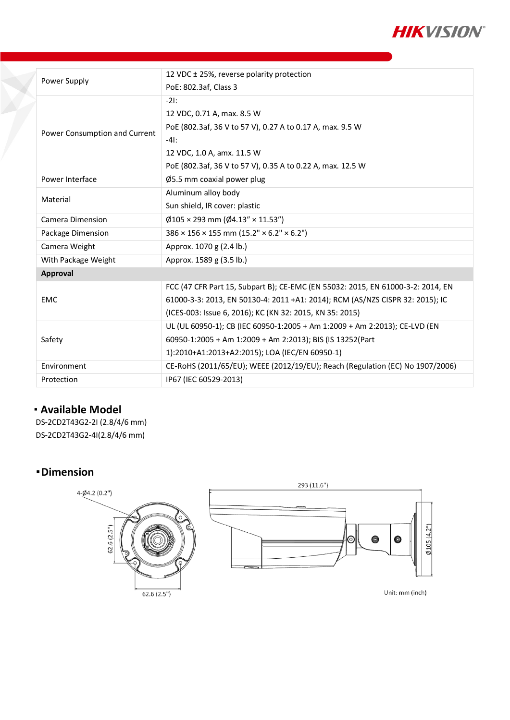

| Power Supply                  | 12 VDC ± 25%, reverse polarity protection                                       |  |  |  |
|-------------------------------|---------------------------------------------------------------------------------|--|--|--|
|                               | PoE: 802.3af, Class 3                                                           |  |  |  |
| Power Consumption and Current | $-2!$ :                                                                         |  |  |  |
|                               | 12 VDC, 0.71 A, max. 8.5 W                                                      |  |  |  |
|                               | PoE (802.3af, 36 V to 57 V), 0.27 A to 0.17 A, max. 9.5 W                       |  |  |  |
|                               | $-41:$                                                                          |  |  |  |
|                               | 12 VDC, 1.0 A, amx. 11.5 W                                                      |  |  |  |
|                               | PoE (802.3af, 36 V to 57 V), 0.35 A to 0.22 A, max. 12.5 W                      |  |  |  |
| Power Interface               | $\varnothing$ 5.5 mm coaxial power plug                                         |  |  |  |
|                               | Aluminum alloy body                                                             |  |  |  |
| Material                      | Sun shield, IR cover: plastic                                                   |  |  |  |
| Camera Dimension              | $\emptyset$ 105 × 293 mm ( $\emptyset$ 4.13" × 11.53")                          |  |  |  |
| Package Dimension             | $386 \times 156 \times 155$ mm $(15.2" \times 6.2" \times 6.2")$                |  |  |  |
| Camera Weight                 | Approx. 1070 g (2.4 lb.)                                                        |  |  |  |
| With Package Weight           | Approx. 1589 g (3.5 lb.)                                                        |  |  |  |
| <b>Approval</b>               |                                                                                 |  |  |  |
| <b>EMC</b>                    | FCC (47 CFR Part 15, Subpart B); CE-EMC (EN 55032: 2015, EN 61000-3-2: 2014, EN |  |  |  |
|                               | 61000-3-3: 2013, EN 50130-4: 2011 +A1: 2014); RCM (AS/NZS CISPR 32: 2015); IC   |  |  |  |
|                               | (ICES-003: Issue 6, 2016); KC (KN 32: 2015, KN 35: 2015)                        |  |  |  |
| Safety                        | UL (UL 60950-1); CB (IEC 60950-1:2005 + Am 1:2009 + Am 2:2013); CE-LVD (EN      |  |  |  |
|                               | 60950-1:2005 + Am 1:2009 + Am 2:2013); BIS (IS 13252(Part                       |  |  |  |
|                               | 1):2010+A1:2013+A2:2015); LOA (IEC/EN 60950-1)                                  |  |  |  |
| Environment                   | CE-RoHS (2011/65/EU); WEEE (2012/19/EU); Reach (Regulation (EC) No 1907/2006)   |  |  |  |
| Protection                    | IP67 (IEC 60529-2013)                                                           |  |  |  |
|                               |                                                                                 |  |  |  |

## **Available Model**

DS-2CD2T43G2-2I (2.8/4/6 mm) DS-2CD2T43G2-4I(2.8/4/6 mm)

## **Dimension**